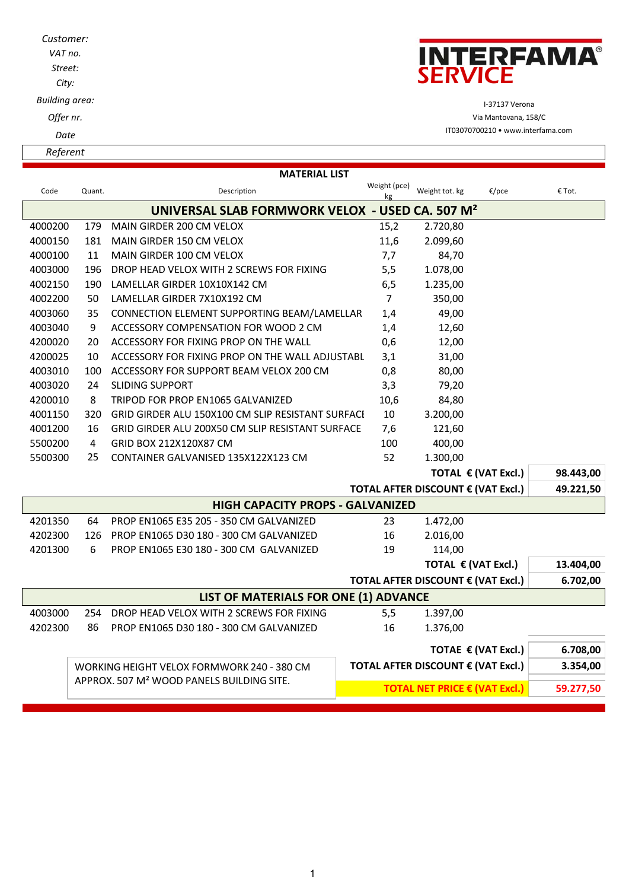| Customer:<br>VAT no.<br>Street:<br>City: | <b>INTERFAMA®</b><br><b>SERVICE</b> |
|------------------------------------------|-------------------------------------|
| Building area:                           | I-37137 Verona                      |
| Offer nr.                                | Via Mantovana, 158/C                |
| Date                                     | IT03070700210 • www.interfama.com   |
| Referent                                 |                                     |
|                                          | <b>MATERIAL LIST</b><br>Moint (nce) |

| Code                                                        | Quant.                                                | Description                                       | Weight (pce)<br>kg                 | Weight tot. kg                         | €/pce                              | € Tot.    |  |
|-------------------------------------------------------------|-------------------------------------------------------|---------------------------------------------------|------------------------------------|----------------------------------------|------------------------------------|-----------|--|
| UNIVERSAL SLAB FORMWORK VELOX - USED CA. 507 M <sup>2</sup> |                                                       |                                                   |                                    |                                        |                                    |           |  |
| 4000200                                                     | 179                                                   | MAIN GIRDER 200 CM VELOX                          | 15,2                               | 2.720,80                               |                                    |           |  |
| 4000150                                                     | 181                                                   | MAIN GIRDER 150 CM VELOX                          | 11,6                               | 2.099,60                               |                                    |           |  |
| 4000100                                                     | 11                                                    | MAIN GIRDER 100 CM VELOX                          | 7,7                                | 84,70                                  |                                    |           |  |
| 4003000                                                     | 196                                                   | DROP HEAD VELOX WITH 2 SCREWS FOR FIXING          | 5,5                                | 1.078,00                               |                                    |           |  |
| 4002150                                                     | 190                                                   | LAMELLAR GIRDER 10X10X142 CM                      | 6,5                                | 1.235,00                               |                                    |           |  |
| 4002200                                                     | 50                                                    | LAMELLAR GIRDER 7X10X192 CM                       | $\overline{7}$                     | 350,00                                 |                                    |           |  |
| 4003060                                                     | 35                                                    | CONNECTION ELEMENT SUPPORTING BEAM/LAMELLAR       | 1,4                                | 49,00                                  |                                    |           |  |
| 4003040                                                     | 9                                                     | ACCESSORY COMPENSATION FOR WOOD 2 CM              | 1,4                                | 12,60                                  |                                    |           |  |
| 4200020                                                     | 20                                                    | ACCESSORY FOR FIXING PROP ON THE WALL             | 0,6                                | 12,00                                  |                                    |           |  |
| 4200025                                                     | 10                                                    | ACCESSORY FOR FIXING PROP ON THE WALL ADJUSTABL   | 3,1                                | 31,00                                  |                                    |           |  |
| 4003010                                                     | 100                                                   | ACCESSORY FOR SUPPORT BEAM VELOX 200 CM           | 0,8                                | 80,00                                  |                                    |           |  |
| 4003020                                                     | 24                                                    | <b>SLIDING SUPPORT</b>                            | 3,3                                | 79,20                                  |                                    |           |  |
| 4200010                                                     | 8                                                     | TRIPOD FOR PROP EN1065 GALVANIZED                 | 10,6                               | 84,80                                  |                                    |           |  |
| 4001150                                                     | 320                                                   | GRID GIRDER ALU 150X100 CM SLIP RESISTANT SURFACE | 10                                 | 3.200,00                               |                                    |           |  |
| 4001200                                                     | 16                                                    | GRID GIRDER ALU 200X50 CM SLIP RESISTANT SURFACE  | 7,6                                | 121,60                                 |                                    |           |  |
| 5500200                                                     | 4                                                     | GRID BOX 212X120X87 CM                            | 100                                | 400,00                                 |                                    |           |  |
| 5500300                                                     | 25                                                    | CONTAINER GALVANISED 135X122X123 CM               | 52                                 | 1.300,00                               |                                    |           |  |
|                                                             |                                                       |                                                   |                                    |                                        | TOTAL € (VAT Excl.)                | 98.443,00 |  |
| TOTAL AFTER DISCOUNT € (VAT Excl.)                          |                                                       |                                                   |                                    |                                        |                                    | 49.221,50 |  |
| <b>HIGH CAPACITY PROPS - GALVANIZED</b>                     |                                                       |                                                   |                                    |                                        |                                    |           |  |
| 4201350                                                     | 64                                                    | PROP EN1065 E35 205 - 350 CM GALVANIZED           | 23                                 | 1.472,00                               |                                    |           |  |
| 4202300                                                     | 126                                                   | PROP EN1065 D30 180 - 300 CM GALVANIZED           | 16                                 | 2.016,00                               |                                    |           |  |
| 4201300                                                     | 6                                                     | PROP EN1065 E30 180 - 300 CM GALVANIZED           | 19                                 | 114,00                                 |                                    |           |  |
|                                                             |                                                       |                                                   |                                    |                                        | TOTAL € (VAT Excl.)                | 13.404,00 |  |
|                                                             |                                                       |                                                   |                                    |                                        | TOTAL AFTER DISCOUNT € (VAT Excl.) | 6.702,00  |  |
| LIST OF MATERIALS FOR ONE (1) ADVANCE                       |                                                       |                                                   |                                    |                                        |                                    |           |  |
| 4003000                                                     | 254                                                   | DROP HEAD VELOX WITH 2 SCREWS FOR FIXING          | 5,5                                | 1.397,00                               |                                    |           |  |
| 4202300                                                     | 86                                                    | PROP EN1065 D30 180 - 300 CM GALVANIZED           | 16                                 | 1.376,00                               |                                    |           |  |
|                                                             |                                                       |                                                   |                                    |                                        | TOTAE € (VAT Excl.)                | 6.708,00  |  |
|                                                             |                                                       | WORKING HEIGHT VELOX FORMWORK 240 - 380 CM        | TOTAL AFTER DISCOUNT € (VAT Excl.) |                                        |                                    | 3.354,00  |  |
|                                                             | APPROX. 507 M <sup>2</sup> WOOD PANELS BUILDING SITE. |                                                   |                                    |                                        |                                    |           |  |
|                                                             |                                                       |                                                   |                                    | TOTAL NET PRICE $\epsilon$ (VAT Excl.) |                                    | 59.277,50 |  |